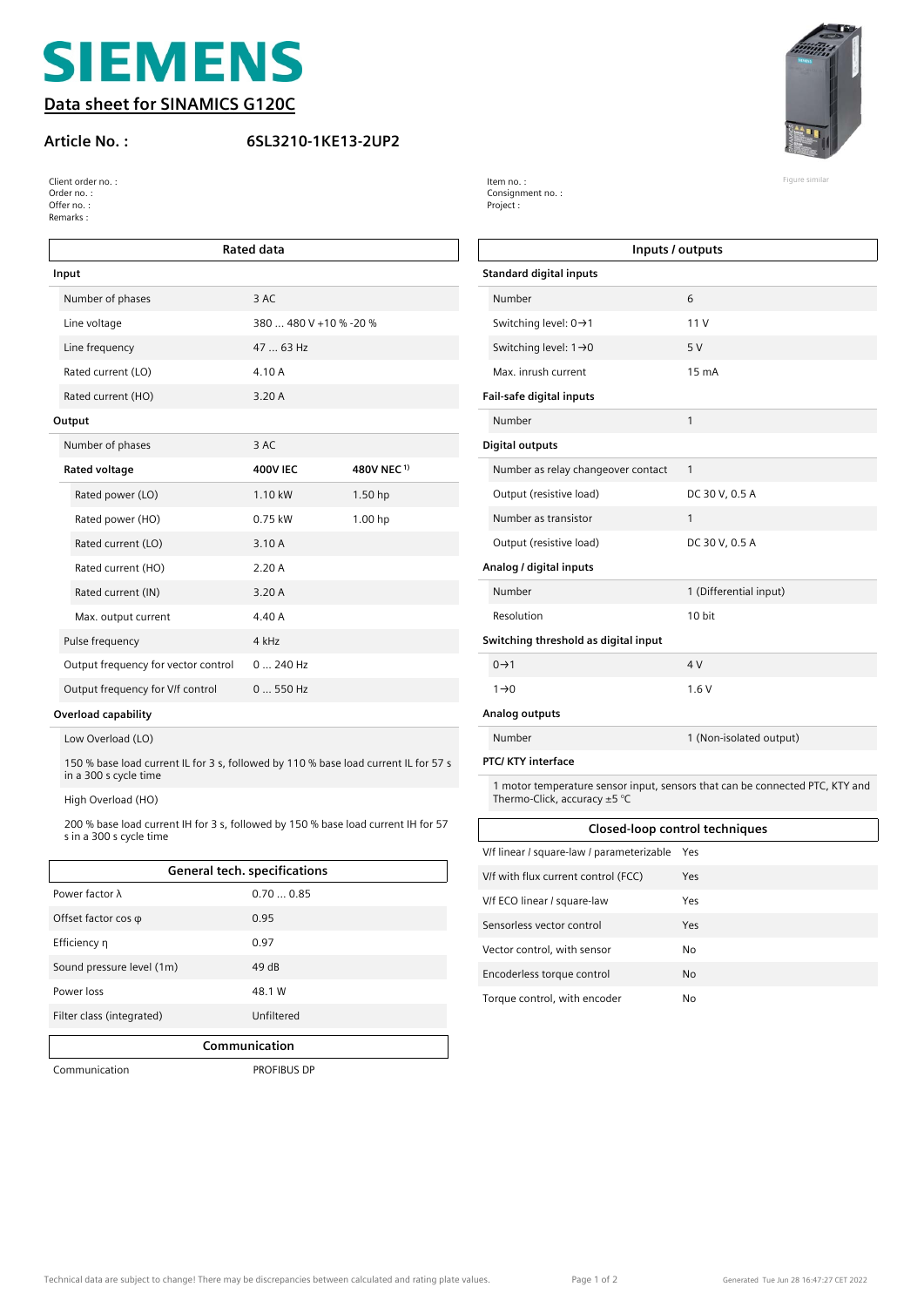# **SIEMENS**

**Data sheet for SINAMICS G120C**

### **Article No. : 6SL3210-1KE13-2UP2**



| Client order no.: | Item no.:        | Figure similar |
|-------------------|------------------|----------------|
| Order no.:        | Consignment no.: |                |
| Offer no.:        | Project :        |                |
| Remarks:          |                  |                |

| <b>Rated data</b> |                                     |                        |                        |  |  |
|-------------------|-------------------------------------|------------------------|------------------------|--|--|
| Input             |                                     |                        |                        |  |  |
|                   | Number of phases                    | 3 AC                   |                        |  |  |
|                   | Line voltage                        | 380  480 V +10 % -20 % |                        |  |  |
|                   | Line frequency                      | 47  63 Hz              |                        |  |  |
|                   | Rated current (LO)                  | 4.10 A                 |                        |  |  |
|                   | Rated current (HO)                  | 3.20 A                 |                        |  |  |
|                   | Output                              |                        |                        |  |  |
|                   | Number of phases                    | 3 AC                   |                        |  |  |
|                   | Rated voltage                       | <b>400V IEC</b>        | 480V NEC <sup>1)</sup> |  |  |
|                   | Rated power (LO)                    | 1.10 kW                | 1.50 <sub>hp</sub>     |  |  |
|                   | Rated power (HO)                    | $0.75$ kW              | 1.00 hp                |  |  |
|                   | Rated current (LO)                  | 3.10A                  |                        |  |  |
|                   | Rated current (HO)                  | 2.20A                  |                        |  |  |
|                   | Rated current (IN)                  | 3.20 A                 |                        |  |  |
|                   | Max. output current                 | 4.40A                  |                        |  |  |
|                   | Pulse frequency                     | 4 kHz                  |                        |  |  |
|                   | Output frequency for vector control | $0240$ Hz              |                        |  |  |
|                   | Output frequency for V/f control    | $0550$ Hz              |                        |  |  |

### **Overload capability**

Low Overload (LO)

150 % base load current IL for 3 s, followed by 110 % base load current IL for 57 s in a 300 s cycle time

High Overload (HO)

200 % base load current IH for 3 s, followed by 150 % base load current IH for 57 s in a 300 s cycle time

| <b>General tech. specifications</b> |            |  |  |
|-------------------------------------|------------|--|--|
| Power factor $\lambda$              | 0.700.85   |  |  |
| Offset factor cos $\varphi$         | 0.95       |  |  |
| Efficiency n                        | 0.97       |  |  |
| Sound pressure level (1m)           | 49dB       |  |  |
| Power loss                          | 48.1 W     |  |  |
| Filter class (integrated)           | Unfiltered |  |  |
| Communication                       |            |  |  |

Communication PROFIBUS DP

|                           | Inputs / outputs                          |                                                                              |  |  |  |  |
|---------------------------|-------------------------------------------|------------------------------------------------------------------------------|--|--|--|--|
|                           | <b>Standard digital inputs</b>            |                                                                              |  |  |  |  |
|                           | Number                                    | 6                                                                            |  |  |  |  |
|                           | Switching level: $0 \rightarrow 1$        | 11V                                                                          |  |  |  |  |
|                           | Switching level: $1\rightarrow 0$         | 5V                                                                           |  |  |  |  |
|                           | Max. inrush current                       | 15 mA                                                                        |  |  |  |  |
|                           | Fail-safe digital inputs                  |                                                                              |  |  |  |  |
|                           | Number                                    | 1                                                                            |  |  |  |  |
|                           | <b>Digital outputs</b>                    |                                                                              |  |  |  |  |
|                           | Number as relay changeover contact        | 1                                                                            |  |  |  |  |
|                           | Output (resistive load)                   | DC 30 V, 0.5 A                                                               |  |  |  |  |
|                           | Number as transistor                      | 1                                                                            |  |  |  |  |
|                           | Output (resistive load)                   | DC 30 V, 0.5 A                                                               |  |  |  |  |
|                           | Analog / digital inputs                   |                                                                              |  |  |  |  |
|                           | Number                                    | 1 (Differential input)                                                       |  |  |  |  |
|                           | Resolution                                | 10 bit                                                                       |  |  |  |  |
|                           | Switching threshold as digital input      |                                                                              |  |  |  |  |
|                           | $0 \rightarrow 1$                         | 4 V                                                                          |  |  |  |  |
|                           | $1\rightarrow 0$                          | 1.6V                                                                         |  |  |  |  |
|                           | Analog outputs                            |                                                                              |  |  |  |  |
|                           | Number                                    | 1 (Non-isolated output)                                                      |  |  |  |  |
| <b>PTC/ KTY interface</b> |                                           |                                                                              |  |  |  |  |
|                           | Thermo-Click, accuracy $\pm$ 5 °C         | 1 motor temperature sensor input, sensors that can be connected PTC, KTY and |  |  |  |  |
|                           | Closed-loop control techniques            |                                                                              |  |  |  |  |
|                           | V/f linear / square-law / parameterizable | Yes                                                                          |  |  |  |  |
|                           | V/f with flux current control (FCC)       | Yes                                                                          |  |  |  |  |
|                           | V/f ECO linear / square-law               | Yes                                                                          |  |  |  |  |
| Sensorless vector control |                                           | Yes                                                                          |  |  |  |  |

Vector control, with sensor No Encoderless torque control No Torque control, with encoder No